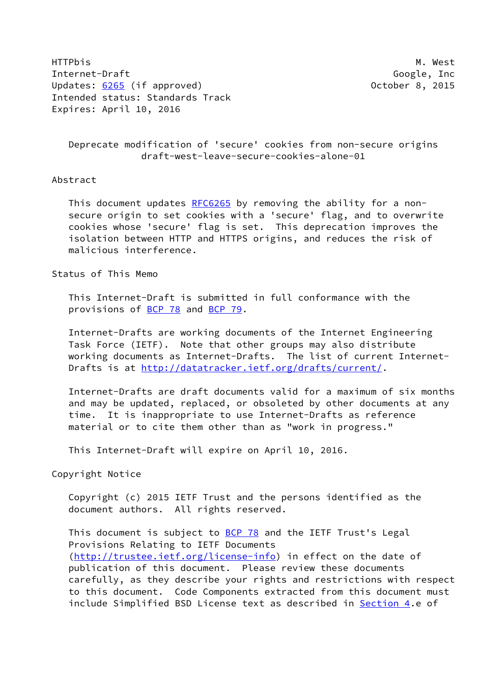HTTPbis M. West Internet-Draft Google, Inc Updates: [6265](https://datatracker.ietf.org/doc/pdf/rfc6265) (if approved) 0ctober 8, 2015 Intended status: Standards Track Expires: April 10, 2016

 Deprecate modification of 'secure' cookies from non-secure origins draft-west-leave-secure-cookies-alone-01

## Abstract

This document updates [RFC6265](https://datatracker.ietf.org/doc/pdf/rfc6265) by removing the ability for a non secure origin to set cookies with a 'secure' flag, and to overwrite cookies whose 'secure' flag is set. This deprecation improves the isolation between HTTP and HTTPS origins, and reduces the risk of malicious interference.

Status of This Memo

 This Internet-Draft is submitted in full conformance with the provisions of [BCP 78](https://datatracker.ietf.org/doc/pdf/bcp78) and [BCP 79](https://datatracker.ietf.org/doc/pdf/bcp79).

 Internet-Drafts are working documents of the Internet Engineering Task Force (IETF). Note that other groups may also distribute working documents as Internet-Drafts. The list of current Internet Drafts is at<http://datatracker.ietf.org/drafts/current/>.

 Internet-Drafts are draft documents valid for a maximum of six months and may be updated, replaced, or obsoleted by other documents at any time. It is inappropriate to use Internet-Drafts as reference material or to cite them other than as "work in progress."

This Internet-Draft will expire on April 10, 2016.

Copyright Notice

 Copyright (c) 2015 IETF Trust and the persons identified as the document authors. All rights reserved.

This document is subject to **[BCP 78](https://datatracker.ietf.org/doc/pdf/bcp78)** and the IETF Trust's Legal Provisions Relating to IETF Documents [\(http://trustee.ietf.org/license-info](http://trustee.ietf.org/license-info)) in effect on the date of publication of this document. Please review these documents carefully, as they describe your rights and restrictions with respect to this document. Code Components extracted from this document must include Simplified BSD License text as described in [Section 4.](#page-2-0)e of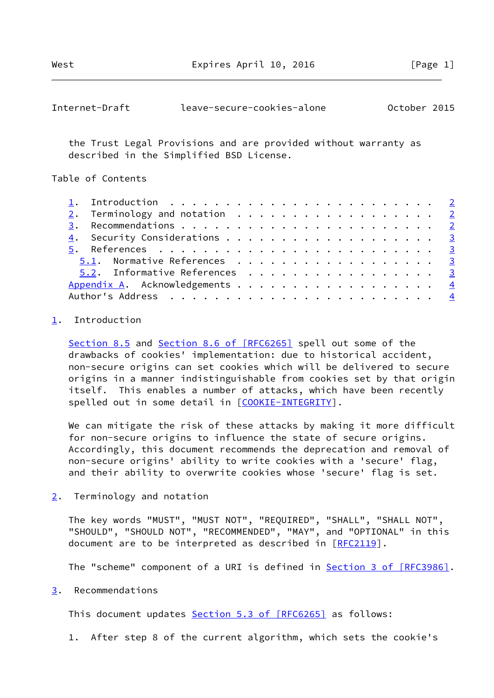<span id="page-1-1"></span>

| October 2015<br>Internet-Draft<br>leave-secure-cookies-alone |
|--------------------------------------------------------------|
|--------------------------------------------------------------|

 the Trust Legal Provisions and are provided without warranty as described in the Simplified BSD License.

Table of Contents

| 2. Terminology and notation 2  |
|--------------------------------|
|                                |
|                                |
|                                |
| 5.1. Normative References 3    |
| 5.2. Informative References 3  |
| Appendix A. Acknowledgements 4 |
|                                |

## <span id="page-1-0"></span>[1](#page-1-0). Introduction

Section 8.5 and Section [8.6 of \[RFC6265\]](https://datatracker.ietf.org/doc/pdf/rfc6265#section-8.6) spell out some of the drawbacks of cookies' implementation: due to historical accident, non-secure origins can set cookies which will be delivered to secure origins in a manner indistinguishable from cookies set by that origin itself. This enables a number of attacks, which have been recently spelled out in some detail in [[COOKIE-INTEGRITY\]](#page-3-3).

 We can mitigate the risk of these attacks by making it more difficult for non-secure origins to influence the state of secure origins. Accordingly, this document recommends the deprecation and removal of non-secure origins' ability to write cookies with a 'secure' flag, and their ability to overwrite cookies whose 'secure' flag is set.

<span id="page-1-2"></span>[2](#page-1-2). Terminology and notation

 The key words "MUST", "MUST NOT", "REQUIRED", "SHALL", "SHALL NOT", "SHOULD", "SHOULD NOT", "RECOMMENDED", "MAY", and "OPTIONAL" in this document are to be interpreted as described in [\[RFC2119](https://datatracker.ietf.org/doc/pdf/rfc2119)].

The "scheme" component of a URI is defined in **Section [3 of \[RFC3986\]](https://datatracker.ietf.org/doc/pdf/rfc3986#section-3)**.

## <span id="page-1-3"></span>[3](#page-1-3). Recommendations

This document updates Section [5.3 of \[RFC6265\]](https://datatracker.ietf.org/doc/pdf/rfc6265#section-5.3) as follows:

1. After step 8 of the current algorithm, which sets the cookie's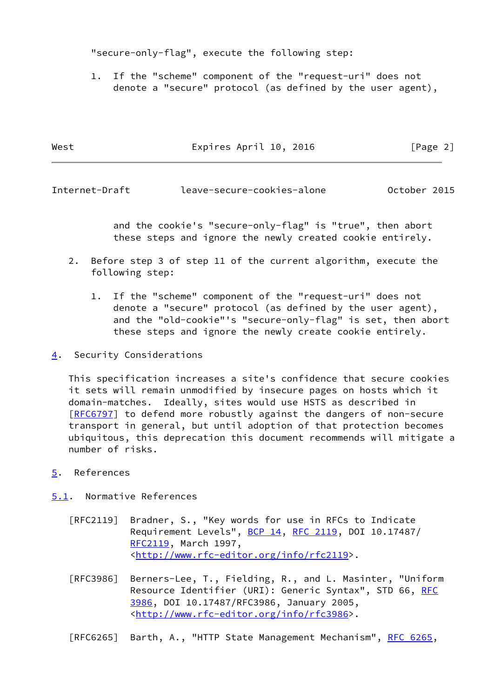"secure-only-flag", execute the following step:

 1. If the "scheme" component of the "request-uri" does not denote a "secure" protocol (as defined by the user agent),

| West | Expires April 10, 2016 | [Page 2] |  |
|------|------------------------|----------|--|
|      |                        |          |  |

<span id="page-2-1"></span>Internet-Draft leave-secure-cookies-alone October 2015

 and the cookie's "secure-only-flag" is "true", then abort these steps and ignore the newly created cookie entirely.

- 2. Before step 3 of step 11 of the current algorithm, execute the following step:
	- 1. If the "scheme" component of the "request-uri" does not denote a "secure" protocol (as defined by the user agent), and the "old-cookie"'s "secure-only-flag" is set, then abort these steps and ignore the newly create cookie entirely.
- <span id="page-2-0"></span>[4](#page-2-0). Security Considerations

 This specification increases a site's confidence that secure cookies it sets will remain unmodified by insecure pages on hosts which it domain-matches. Ideally, sites would use HSTS as described in [\[RFC6797](https://datatracker.ietf.org/doc/pdf/rfc6797)] to defend more robustly against the dangers of non-secure transport in general, but until adoption of that protection becomes ubiquitous, this deprecation this document recommends will mitigate a number of risks.

- <span id="page-2-2"></span>[5](#page-2-2). References
- <span id="page-2-3"></span>[5.1](#page-2-3). Normative References
	- [RFC2119] Bradner, S., "Key words for use in RFCs to Indicate Requirement Levels", [BCP 14](https://datatracker.ietf.org/doc/pdf/bcp14), [RFC 2119](https://datatracker.ietf.org/doc/pdf/rfc2119), DOI 10.17487/ [RFC2119](https://datatracker.ietf.org/doc/pdf/rfc2119), March 1997, <<http://www.rfc-editor.org/info/rfc2119>>.
	- [RFC3986] Berners-Lee, T., Fielding, R., and L. Masinter, "Uniform Resource Identifier (URI): Generic Syntax", STD 66, [RFC](https://datatracker.ietf.org/doc/pdf/rfc3986) [3986,](https://datatracker.ietf.org/doc/pdf/rfc3986) DOI 10.17487/RFC3986, January 2005, <<http://www.rfc-editor.org/info/rfc3986>>.

[RFC6265] Barth, A., "HTTP State Management Mechanism", [RFC 6265](https://datatracker.ietf.org/doc/pdf/rfc6265),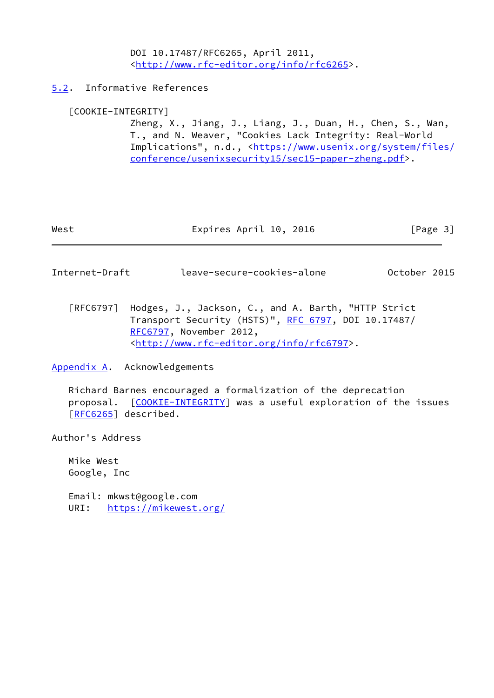DOI 10.17487/RFC6265, April 2011, <<http://www.rfc-editor.org/info/rfc6265>>.

<span id="page-3-0"></span>[5.2](#page-3-0). Informative References

## <span id="page-3-3"></span>[COOKIE-INTEGRITY]

 Zheng, X., Jiang, J., Liang, J., Duan, H., Chen, S., Wan, T., and N. Weaver, "Cookies Lack Integrity: Real-World Implications", n.d., [<https://www.usenix.org/system/files/](https://www.usenix.org/system/files/conference/usenixsecurity15/sec15-paper-zheng.pdf) [conference/usenixsecurity15/sec15-paper-zheng.pdf>](https://www.usenix.org/system/files/conference/usenixsecurity15/sec15-paper-zheng.pdf).

| Expires April 10, 2016<br>West | [Page 3] |
|--------------------------------|----------|
|--------------------------------|----------|

<span id="page-3-2"></span>Internet-Draft leave-secure-cookies-alone October 2015

 [RFC6797] Hodges, J., Jackson, C., and A. Barth, "HTTP Strict Transport Security (HSTS)", [RFC 6797,](https://datatracker.ietf.org/doc/pdf/rfc6797) DOI 10.17487/ [RFC6797](https://datatracker.ietf.org/doc/pdf/rfc6797), November 2012, <<http://www.rfc-editor.org/info/rfc6797>>.

<span id="page-3-1"></span>[Appendix A.](#page-3-1) Acknowledgements

 Richard Barnes encouraged a formalization of the deprecation proposal. [[COOKIE-INTEGRITY\]](#page-3-3) was a useful exploration of the issues [\[RFC6265](https://datatracker.ietf.org/doc/pdf/rfc6265)] described.

Author's Address

 Mike West Google, Inc

 Email: mkwst@google.com URI: <https://mikewest.org/>